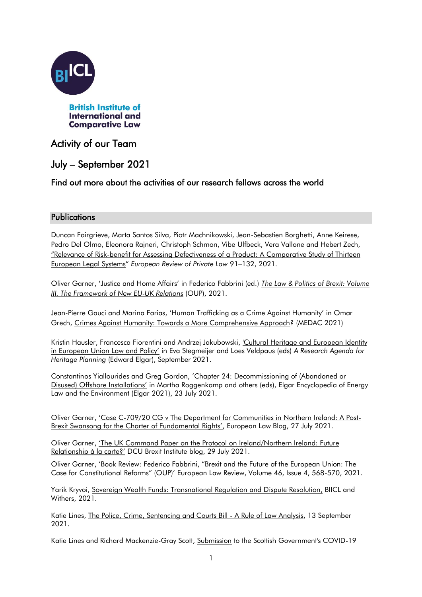

# Activity of our Team

# July – September 2021

## Find out more about the activities of our research fellows across the world

### **Publications**

Duncan Fairgrieve, Marta Santos Silva, Piotr Machnikowski, Jean-Sebastien Borghetti, Anne Keirese, Pedro Del Olmo, Eleonora Rajneri, Christoph Schmon, Vibe Ulfbeck, Vera Vallone and Hebert Zech, "Relevance of Risk[-benefit for Assessing Defectiveness of a Product: A Comparative Study of Thirteen](https://kluwerlawonline.com/journalarticle/European+Review+of+Private+Law/29.1/ERPL2021005)  [European Legal Systems](https://kluwerlawonline.com/journalarticle/European+Review+of+Private+Law/29.1/ERPL2021005)" *European Review of Private Law* 91–132, 2021.

Oliver Garner, 'Justice and Home Affairs' in Federico Fabbrini (ed.) *[The Law & Politics of Brexit: Volume](https://global.oup.com/academic/product/the-law-and-politics-of-brexit-volume-iii-9780192848475?lang=en&cc=it)  [III. The Framework of New EU-UK Relations](https://global.oup.com/academic/product/the-law-and-politics-of-brexit-volume-iii-9780192848475?lang=en&cc=it)* (OUP), 2021.

Jean-Pierre Gauci and Marina Farias, 'Human Trafficking as a Crime Against Humanity' in Omar Grech, [Crimes Against Humanity: Towards a More Comprehensive Approach?](https://www.um.edu.mt/library/oar/handle/123456789/79215) (MEDAC 2021)

Kristin Hausler, Francesca Fiorentini and Andrzej Jakubowski, 'Cultural Heritage and European Identity [in European Union Law and Policy'](file:///C:/Users/CEAA0~1.PRI/AppData/Local/Temp/%5b9781788974622%20-%20A%20Research%20Agenda%20for%20Heritage%20Planning%5d%20Cultural%20heritage%20and%20European%20identity%20in%20European%20Union%20law%20and%20policy.pdf) in Eva Stegmeijer and Loes Veldpaus (eds) *A Research Agenda for Heritage Planning* (Edward Elgar), September 2021.

Constantinos Yiallourides and Greg Gordon, '[Chapter 24: Decommissioning of \(Abandoned or](https://www.e-elgar.com/shop/gbp/energy-law-climate-change-and-the-environment-9781788119672.html)  [Disused\) Offshore Installations'](https://www.e-elgar.com/shop/gbp/energy-law-climate-change-and-the-environment-9781788119672.html) in Martha Roggenkamp and others (eds), Elgar Encyclopedia of Energy Law and the Environment (Elgar 2021), 23 July 2021.

Oliver Garner, 'Case C[-709/20 CG v The Department for Communities in Northern Ireland: A Post-](https://europeanlawblog.eu/2021/07/27/case-c-709-20-cg-v-the-department-for-communities-in-northern-ireland-a-post-brexit-swansong-for-the-charter-of-fundamental-rights/#comments)[Brexit Swansong for the Charter of Fundamental Rights'](https://europeanlawblog.eu/2021/07/27/case-c-709-20-cg-v-the-department-for-communities-in-northern-ireland-a-post-brexit-swansong-for-the-charter-of-fundamental-rights/#comments), European Law Blog, 27 July 2021.

Oliver Garner, 'The UK Comman[d Paper on the Protocol on Ireland/Northern Ireland: Future](https://dcubrexitinstitute.eu/2021/07/the-uk-command-paper/)  [Relationship à la carte?'](https://dcubrexitinstitute.eu/2021/07/the-uk-command-paper/) DCU Brexit Institute blog, 29 July 2021.

Oliver Garner, 'Book Review: Federico Fabbrini, "Brexit and the Future of the European Union: The Case for Constitutional Reforms" (OUP)' European Law Review, Volume 46, Issue 4, 568-570, 2021.

Yarik Kryvoi, [Sovereign Wealth Funds: Transnational Regulation and Dispute Resolution,](https://www.biicl.org/documents/144_sovereign-wealth-funds-regulation-dispute-resolution-.pdf) BIICL and Withers, 2021.

Katie Lines, [The Police, Crime, Sentencing and Courts Bill -](https://binghamcentre.biicl.org/publications/the-police-crime-sentencing-and-courts-bill-a-rule-of-law-analysis) A Rule of Law Analysis, 13 September 2021.

Katie Lines and Richard Mackenzie-Gray Scott, [Submission](https://binghamcentre.biicl.org/publications/submission-to-the-scottish-governments-covid-19-public-inquiry-set-up-team) to the Scottish Government's COVID-19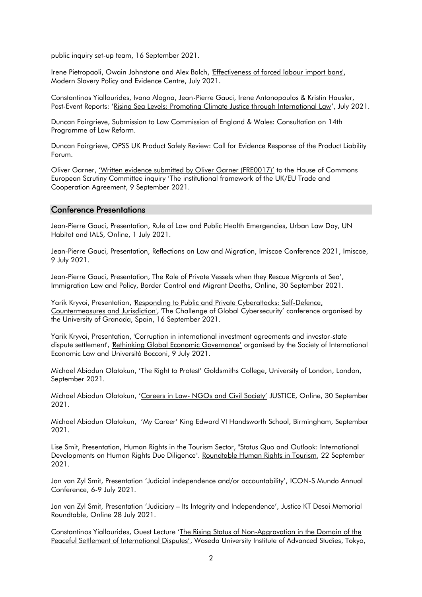public inquiry set-up team, 16 September 2021.

Irene Pietropaoli, Owain Johnstone and Alex Balch, ['Effectiveness of forced labour import bans',](https://modernslaverypec.org/assets/downloads/PEC-Policy-Brief-Effectiveness-Forced-Labour-Import-Bans.pdf) Modern Slavery Policy and Evidence Centre, July 2021.

Constantinos Yiallourides, Ivano Alogna, Jean-Pierre Gauci, Irene Antonopoulos & Kristin Hausler, Post-Event Reports: '[Rising Sea Levels: Promoting Climate Justice through International Law](https://www.biicl.org/publications/rising-sea-levels-promoting-climate-justice-through-international-law)', July 2021.

Duncan Fairgrieve, Submission to Law Commission of England & Wales: Consultation on 14th Programme of Law Reform.

Duncan Fairgrieve, OPSS UK Product Safety Review: Call for Evidence Response of the Product Liability Forum.

Oliver Garner, ['Written evidence submitted by Oliver Garner \(FRE0017\)'](https://committees.parliament.uk/writtenevidence/5239/default/) to the House of Commons European Scrutiny Committee inquiry 'The institutional framework of the UK/EU Trade and Cooperation Agreement, 9 September 2021.

#### Conference Presentations

Jean-Pierre Gauci, Presentation, Rule of Law and Public Health Emergencies, Urban Law Day, UN Habitat and IALS, Online, 1 July 2021.

Jean-Pierre Gauci, Presentation, Reflections on Law and Migration, Imiscoe Conference 2021, Imiscoe, 9 July 2021.

Jean-Pierre Gauci, Presentation, The Role of Private Vessels when they Rescue Migrants at Sea', Immigration Law and Policy, Border Control and Migrant Deaths, Online, 30 September 2021.

Yarik Kryvoi, Presentation, ['Responding to Public and Private Cyberattacks: Self-Defence,](http://kryvoi.net/pdf/Responding-Public-and-Private-Cyberattacks-Self-Defence-Countermeasures-Jurisdiction.pdf)  [Countermeasures and Jurisdiction',](http://kryvoi.net/pdf/Responding-Public-and-Private-Cyberattacks-Self-Defence-Countermeasures-Jurisdiction.pdf) 'The Challenge of Global Cybersecurity' conference organised by the University of Granada, Spain, 16 September 2021.

Yarik Kryvoi, Presentation, 'Corruption in international investment agreements and investor-state dispute settlement', ['Rethinking Global Economic Governance'](https://www.unibocconi.eu/wps/wcm/connect/ev/Events/Bocconi+Events/SIEL+Conference+2021) organised by the Society of International Economic Law and Università Bocconi, 9 July 2021.

Michael Abiodun Olatokun, 'The Right to Protest' Goldsmiths College, University of London, London, September 2021.

Michael Abiodun Olatokun, 'Careers in Law- [NGOs and Civil Society'](https://justice.org.uk/events/careers-in-law-student-week-2021/) JUSTICE, Online, 30 September 2021.

Michael Abiodun Olatokun, 'My Career' King Edward VI Handsworth School, Birmingham, September 2021.

Lise Smit, Presentation, Human Rights in the Tourism Sector, "Status Quo and Outlook: International Developments on Human Rights Due Diligence". [Roundtable Human Rights in Tourism,](https://www.humanrights-in-tourism.net/online-symposium-2021) 22 September 2021.

Jan van Zyl Smit, Presentation 'Judicial independence and/or accountability', ICON-S Mundo Annual Conference, 6-9 July 2021.

Jan van Zyl Smit, Presentation 'Judiciary – Its Integrity and Independence', Justice KT Desai Memorial Roundtable, Online 28 July 2021.

Constantinos Yiallourides, Guest Lecture '[The Rising Status of Non-Aggravation in the Domain of](https://www.waseda.jp/folaw/glaw/6061/) the [Peaceful Settlement of International Disputes'](https://www.waseda.jp/folaw/glaw/6061/), Waseda University Institute of Advanced Studies, Tokyo,